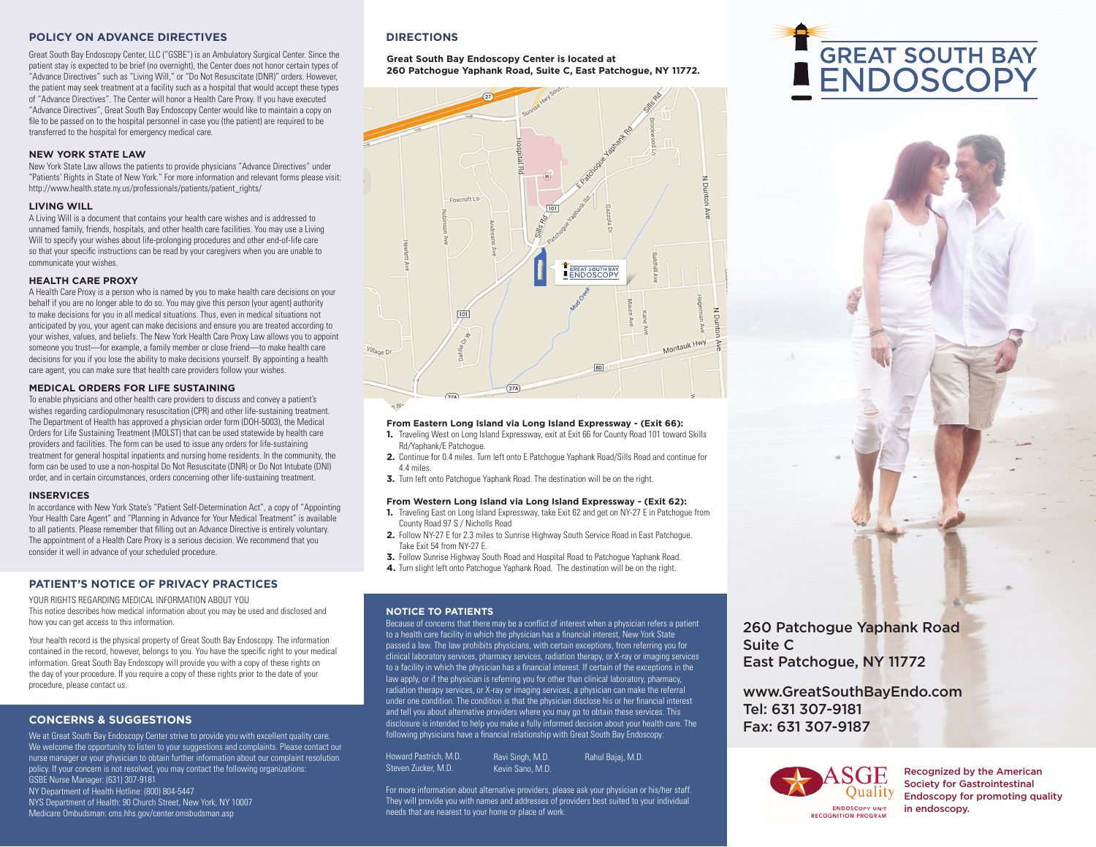### **POLICY ON ADVANCE DIRECTIVES**

Great South Bay Endoscopy Center, LLC ("GSBE") is an Ambulatory Surgical Center. Since the patient stay is expected to be brief (no overnight), the Center does not honor certain types of "Advance Directives" such as "Living Will," or "Do Not Resuscitate (DNR)" orders. However, the patient may seek treatment at a facility such as a hospital that would accept these types of "Advance Directives". The Center will honor a Health Care Proxy. If you have executed "Advance Directives", Great South Bay Endoscopy Center would like to maintain a copy on file to be passed on to the hospital personnel in case you (the patient) are required to be transferred to the hospital for emergency medical care.

#### **NEW YORK STATE LAW**

New York State Law allows the patients to provide physicians "Advance Directives" under "Patients' Rights in State of New York." For more information and relevant forms please visit: http://www.health.state.ny.us/professionals/patients/patient\_rights/

#### **LIVING WILL**

A Living Will is a document that contains your health care wishes and is addressed to unnamed family, friends, hospitals, and other health care facilities. You may use a Living Will to specify your wishes about life-prolonging procedures and other end-of-life care so that your specific instructions can be read by your caregivers when you are unable to communicate your wishes.

#### **HEALTH CARE PROXY**

A Health Care Proxy is a person who is named by you to make health care decisions on your behalf if you are no longer able to do so. You may give this person (your agent) authority to make decisions for you in all medical situations. Thus, even in medical situations not anticipated by you, your agent can make decisions and ensure you are treated according to your wishes, values, and beliefs. The New York Health Care Proxy Law allows you to appoint someone you trust-for example, a family member or close friend-to make health care decisions for you if you lose the ability to make decisions yourself. By appointing a health care agent, you can make sure that health care providers follow your wishes.

#### **MEDICAL ORDERS FOR LIFE SUSTAINING**

To enable physicians and other health care providers to discuss and convey a patient's wishes regarding cardiopulmonary resuscitation (CPR) and other life-sustaining treatment. The Department of Health has approved a physician order form (DOH-5003), the Medical Orders for Life Sustaining Treatment (MOLST) that can be used statewide by health care providers and facilities. The form can be used to issue any orders for life-sustaining treatment for general hospital inpatients and nursing home residents. In the community, the form can be used to use a non-hospital Do Not Resuscitate (DNR) or Do Not Intubate (DNI) order, and in certain circumstances, orders concerning other life-sustaining treatment.

#### **INSERVICES**

In accordance with New York State's "Patient Self-Determination Act", a copy of "Appointing Your Health Care Agent" and "Planning in Advance for Your Medical Treatment" is available to all patients. Please remember that filling out an Advance Directive is entirely voluntary. The appointment of a Health Care Proxy is a serious decision. We recommend that you consider it well in advance of your scheduled procedure.

## **PATIENT'S NOTICE OF PRIVACY PRACTICES**

YOUR RIGHTS REGARDING MEDICAL INFORMATION ABOUT YOU This notice describes how medical information about you may be used and disclosed and how you can get access to this information.

Your health record is the physical property of Great South Bay Endoscopy. The information contained in the record, however, belongs to you. You have the specific right to your medical information. Great South Bay Endoscopy will provide you with a copy of these rights on the day of your procedure. If you require a copy of these rights prior to the date of your procedure, please contact us.

## **CONCERNS & SUGGESTIONS**

We at Great South Bay Endoscopy Center strive to provide you with excellent quality care. We welcome the opportunity to listen to your suggestions and complaints. Please contact our nurse manager or your physician to obtain further information about our complaint resolution policy. If your concern is not resolved, you may contact the following organizations: GSBE Nurse Manager: (631) 307-9181 NY Department of Health Hotline: (800) 804-5447 NYS Department of Health: 90 Church Street, New York, NY 10007 Medicare Ombudsman: cms.hhs.gov/center.omsbudsman.asp

## **DIRECTIONS**

#### **Great South Bay Endoscopy Center is located at 260 Patchogue Yaphank Road, Suite C, East Patchogue, NY 11772.**



#### **From Eastern Long Island via Long Island Expressway - (Exit 66):**

- **1.** Traveling West on Long Island Expressway, exit at Exit 66 for County Road 101 toward Skills Rd/Yaphank/E Patchogue.
- **2.** Continue for 0.4 miles. Turn left onto E Patchogue Yaphank Road/Sills Road and continue for 4.4 miles.
- **3.** Turn left onto Patchogue Yaphank Road. The destination will be on the right.

#### **From Western Long Island via Long Island Expressway - (Exit 62):**

- **1.** Traveling East on Long Island Expressway, take Exit 62 and get on NY-27 E in Patchogue from County Road 97 S / Nicholls Road
- **2.** Follow NY-27 E for 2.3 miles to Sunrise Highway South Service Road in East Patchogue. Take Exit 54 from NY-27 E.
- **3.** Follow Sunrise Highway South Road and Hospital Road to Patchogue Yaphank Road.
- **4.** Turn slight left onto Patchogue Yaphank Road. The destination will be on the right.

#### **NOTICE TO PATIENTS**

Because of concerns that there may be a conflict of interest when a physician refers a patient to a health care facility in which the physician has a financial interest, New York State passed a law. The law prohibits physicians, with certain exceptions, from referring you for clinical laboratory services, pharmacy services, radiation therapy, or X-ray or imaging services to a facility in which the physician has a financial interest. If certain of the exceptions in the law apply, or if the physician is referring you for other than clinical laboratory, pharmacy, radiation therapy services, or X-ray or imaging services, a physician can make the referral under one condition. The condition is that the physician disclose his or her financial interest and tell you about alternative providers where you may go to obtain these services. This disclosure is intended to help you make a fully informed decision about your health care. The following physicians have a financial relationship with Great South Bay Endoscopy:

| Howard Pastrich. M.D. | Ravi Singh, M.D. | Rahul Bajaj, M.D. |
|-----------------------|------------------|-------------------|
| Steven Zucker. M.D.   | Kevin Sano, M.D. |                   |

For more information about alternative providers, please ask your physician or his/her staff. They will provide you with names and addresses of providers best suited to your individual needs that are nearest to your home or place of work.

260 Patchogue Yaphank Road Suite C East Patchogue, NY 11772

www.GreatSouthBayEndo.com Tel: 631 307-9181 Fax: 631 307-9187



Recognized by the American Society for Gastrointestinal Endoscopy for promoting quality in endoscopy.